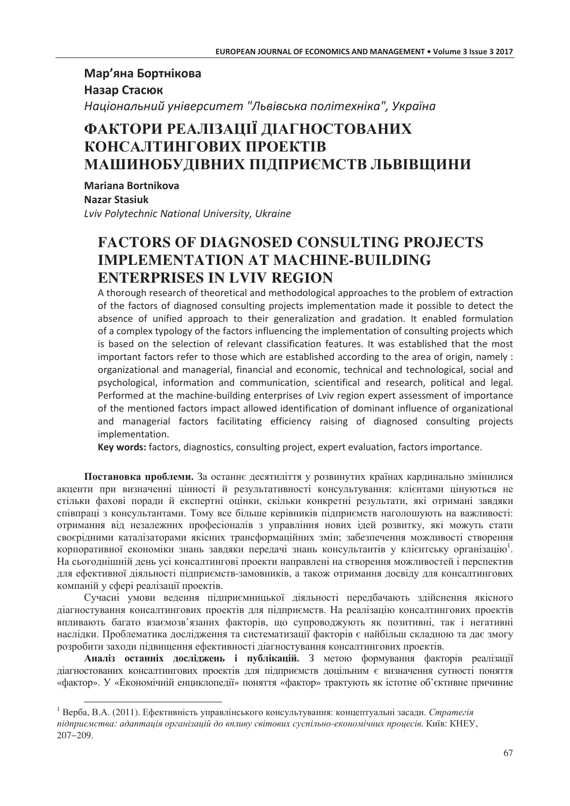### Мар'яна Бортнікова Назар Стасюк Національний університет "Львівська політехніка", Україна

# ФАКТОРИ РЕАЛІЗАЦІЇ ДІАГНОСТОВАНИХ КОНСАЛТИНГОВИХ ПРОЕКТІВ МАШИНОБУДІВНИХ ПІДПРИЄМСТВ ЛЬВІВЩИНИ

Mariana Bortnikova Nazar Stasiuk Lviv Polytechnic National University, Ukraine

# **FACTORS OF DIAGNOSED CONSULTING PROJECTS IMPLEMENTATION AT MACHINE-BUILDING ENTERPRISES IN LVIV REGION**

A thorough research of theoretical and methodological approaches to the problem of extraction of the factors of diagnosed consulting projects implementation made it possible to detect the absence of unified approach to their generalization and gradation. It enabled formulation of a complex typology of the factors influencing the implementation of consulting projects which is based on the selection of relevant classification features. It was established that the most important factors refer to those which are established according to the area of origin, namely : organizational and managerial, financial and economic, technical and technological, social and psychological, information and communication, scientifical and research, political and legal. Performed at the machine-building enterprises of Lviv region expert assessment of importance of the mentioned factors impact allowed identification of dominant influence of organizational and managerial factors facilitating efficiency raising of diagnosed consulting projects implementation.

Key words: factors, diagnostics, consulting project, expert evaluation, factors importance.

Постановка проблеми. За останнє десятиліття у розвинутих країнах кардинально змінилися акценти при визначенні цінності й результативності консультування: клієнтами цінуються не стільки фахові поради й експертні оцінки, скільки конкретні результати, які отримані завдяки співпраці з консультантами. Тому все більше керівників підприємств наголошують на важливості: отримання від незалежних професіоналів з управління нових ідей розвитку, які можуть стати своєрідними каталізаторами якісних трансформаційних змін; забезпечення можливості створення корпоративної економіки знань завдяки передачі знань консультантів у клієнтську організацію<sup>1</sup>. На сьогоднішній день усі консалтингові проекти направлені на створення можливостей і перспектив для ефективної діяльності підприємств-замовників, а також отримання досвіду для консалтингових компаній у сфері реалізації проектів.

Сучасні умови ведення підприємницької діяльності передбачають здійснення якісного діагностування консалтингових проектів для підприємств. На реалізацію консалтингових проектів впливають багато взаємозв'язаних факторів, що супроводжують як позитивні, так і негативні наслілки. Проблематика лослілження та систематизації факторів є найбільш складною та дає змогу розробити захоли пілвишення ефективності ліагностування консалтингових проектів.

Аналіз останніх досліджень і публікацій. З метою формування факторів реалізації діагностованих консалтингових проектів для підприємств доцільним є визначення сутності поняття «фактор». У «Економічній енциклопедії» поняття «фактор» трактують як істотне об'єктивне причинне

<sup>&</sup>lt;sup>1</sup> Верба, В.А. (2011). Ефективність управлінського консультування: концептуальні засади. Стратегія підприємства: адаптація організацій до впливу світових суспільно-економічних процесів. Київ: КНЕУ,  $207 - 209$ .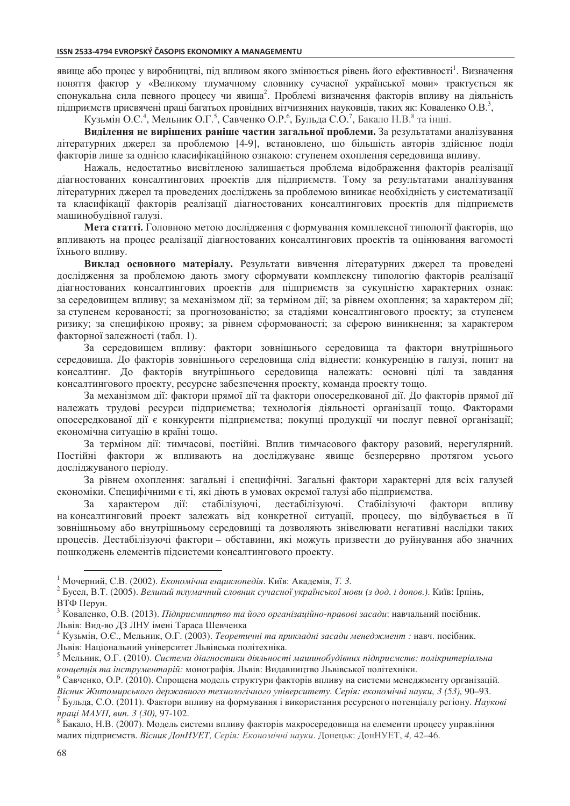явище або процес у виробництві, під впливом якого змінюється рівень його ефективності<sup>1</sup>. Визначення поняття фактор у «Великому тлумачному словнику сучасної української мови» трактується як спонукальна сила певного процесу чи явища<sup>2</sup>. Проблемі визначення факторів впливу на діяльність підприємств присвячені праці багатьох провідних вітчизняних науковців, таких як: Коваленко О.В.<sup>3</sup>,

Кузьмін О.Є.<sup>4</sup>, Мельник О.Г.<sup>5</sup>, Савченко О.Р.<sup>6</sup>, Бульда С.О.<sup>7</sup>, Бакало Н.В.<sup>8</sup> та інші.

Виділення не вирішених раніше частин загальної проблеми. За результатами аналізування літературних джерел за проблемою [4-9], встановлено, що більшість авторів здійснює поділ факторів лише за однією класифікаційною ознакою: ступенем охоплення середовища впливу.

Нажаль, недостатньо висвітленою залишається проблема відображення факторів реалізації діагностованих консалтингових проектів для підприємств. Тому за результатами аналізування літературних джерел та проведених досліджень за проблемою виникає необхідність у систематизації та класифікації факторів реалізації діагностованих консалтингових проектів для підприємств машинобудівної галузі.

Мета статті. Головною метою дослідження є формування комплексної типології факторів, що впливають на процес реалізації діагностованих консалтингових проектів та оцінювання вагомості їхнього впливу.

Виклад основного матеріалу. Результати вивчення літературних джерел та проведені дослідження за проблемою дають змогу сформувати комплексну типологію факторів реалізації діагностованих консалтингових проектів для підприємств за сукупністю характерних ознак: за середовищем впливу: за механізмом дії: за терміном дії: за рівнем охоплення: за характером дії: за ступенем керованості; за прогнозованістю; за стадіями консалтингового проекту; за ступенем ризику; за специфікою прояву; за рівнем сформованості; за сферою виникнення; за характером факторної залежності (табл. 1).

.<br>За середовищем впливу: фактори зовнішнього середовища та фактори внутрішнього середовища. До факторів зовнішнього середовища слід віднести: конкуренцію в галузі, попит на консалтинг. До факторів внутрішнього середовища належать: основні цілі та завдання консалтингового проекту, ресурсне забезпечення проекту, команла проекту тошо.

За механізмом дії: фактори прямої дії та фактори опосередкованої дії. До факторів прямої дії належать трудові ресурси підприємства; технологія діяльності організації тощо. Факторами опосередкованої дії є конкуренти підприємства; покупці продукції чи послуг певної організації; економічна ситуацію в країні тощо.

За терміном дії: тимчасові, постійні. Вплив тимчасового фактору разовий, нерегулярний. Постійні фактори ж впливають на досліджуване явище безперервно протягом усього лосліджуваного періоду.

За рівнем охоплення: загальні і специфічні. Загальні фактори характерні для всіх галузей економіки. Специфічними є ті, які діють в умовах окремої галузі або підприємства.

За характером дії: стабілізуючі, дестабілізуючі. Стабілізуючі фактори **ВПЛИВУ** на консалтинговий проект залежать від конкретної ситуації, процесу, що відбувається в її зовнішньому або внутрішньому середовищі та дозволяють знівелювати негативні наслідки таких процесів. Дестабілізуючі фактори - обставини, які можуть призвести до руйнування або значних пошкоджень елементів підсистеми консалтингового проекту.

<sup>&</sup>lt;sup>1</sup> Мочерний, С.В. (2002). *Економічна енциклопедія*. Київ: Академія, Т. 3.

<sup>&</sup>lt;sup>2</sup> Бусел, В.Т. (2005). Великий тлумачний словник сучасної української мови (з дод. і допов.). Київ: Ірпінь, ВТФ Перун.

<sup>&</sup>lt;sup>3</sup> Коваленко, О.В. (2013). Підприємниитво та його організаційно-правові засади: навчальний посібник. Львів: Вид-во ДЗ ЛНУ імені Тараса Шевченка

<sup>&</sup>lt;sup>4</sup> Кузьмін, О.Є., Мельник, О.Г. (2003). Теоретичні та прикладні засади менеджмент: навч. посібник. Львів: Національний університет Львівська політехніка.

<sup>&</sup>lt;sup>5</sup> Мельник, О.Г. (2010). Системи діагностики діяльності машинобудівних підприємств: полікритеріальна кониепиія та інструментарій: монографія. Львів: Видавництво Львівської політехніки.

 $6$  Савченко, О.Р. (2010). Спрощена модель структури факторів впливу на системи менеджменту організацій.

Вісник Житомирського державного технологічного університету. Серія: економічні науки, 3 (53), 90-93.

 $^7$  Бульда, С.О. (2011). Фактори впливу на формування і використання ресурсного потенціалу регіону. Наукові праці МАУП, вип. 3 (30), 97-102.

<sup>&</sup>lt;sup>8</sup> Бакало, Н.В. (2007). Модель системи впливу факторів макросередовища на елементи процесу управління малих підприємств. Вісник ДонНУЕТ, Серія: Економічні науки. Донецьк: ДонНУЕТ, 4, 42-46.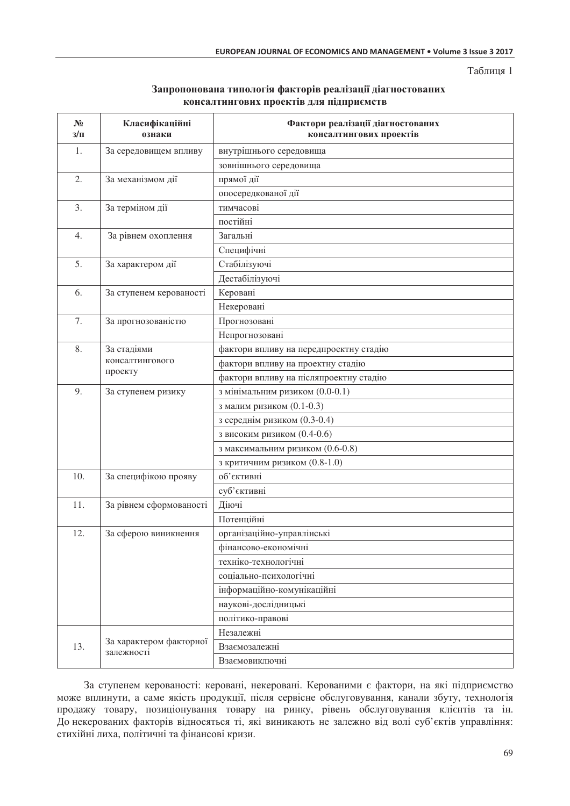Таблиця 1

| Запропонована типологія факторів реалізації діагностованих |  |  |
|------------------------------------------------------------|--|--|
| консалтингових проектів для підприємств                    |  |  |

| $N_2$<br>$3/\Pi$ | Класифікаційні<br>ознаки | Фактори реалізації діагностованих<br>консалтингових проектів |  |  |  |  |  |
|------------------|--------------------------|--------------------------------------------------------------|--|--|--|--|--|
| 1.               | За середовищем впливу    | внутрішнього середовища                                      |  |  |  |  |  |
|                  |                          | зовнішнього середовища                                       |  |  |  |  |  |
| 2.               | За механізмом дії        | прямої дії                                                   |  |  |  |  |  |
|                  |                          | опосередкованої дії                                          |  |  |  |  |  |
| 3.               | За терміном дії          | тимчасові                                                    |  |  |  |  |  |
|                  |                          | постійні                                                     |  |  |  |  |  |
| 4.               | За рівнем охоплення      | Загальні                                                     |  |  |  |  |  |
|                  |                          | Специфічні                                                   |  |  |  |  |  |
| 5.               | За характером дії        | Стабілізуючі                                                 |  |  |  |  |  |
|                  |                          | Дестабілізуючі                                               |  |  |  |  |  |
| 6.               | За ступенем керованості  | Керовані                                                     |  |  |  |  |  |
|                  |                          | Некеровані                                                   |  |  |  |  |  |
| 7.               | За прогнозованістю       | Прогнозовані                                                 |  |  |  |  |  |
|                  |                          | Непрогнозовані                                               |  |  |  |  |  |
| 8.               | За стадіями              | фактори впливу на передпроектну стадію                       |  |  |  |  |  |
| консалтингового  |                          | фактори впливу на проектну стадію                            |  |  |  |  |  |
|                  | проекту                  | фактори впливу на післяпроектну стадію                       |  |  |  |  |  |
| 9.               | За ступенем ризику       | з мінімальним ризиком (0.0-0.1)                              |  |  |  |  |  |
|                  |                          | з малим ризиком (0.1-0.3)                                    |  |  |  |  |  |
|                  |                          | з середнім ризиком (0.3-0.4)                                 |  |  |  |  |  |
|                  |                          | з високим ризиком (0.4-0.6)                                  |  |  |  |  |  |
|                  |                          | з максимальним ризиком (0.6-0.8)                             |  |  |  |  |  |
|                  |                          | з критичним ризиком (0.8-1.0)                                |  |  |  |  |  |
| 10.              | За специфікою прояву     | об'єктивні                                                   |  |  |  |  |  |
|                  |                          | суб'єктивні                                                  |  |  |  |  |  |
| 11.              | За рівнем сформованості  | Діючі                                                        |  |  |  |  |  |
|                  |                          | Потенційні                                                   |  |  |  |  |  |
| 12.              | За сферою виникнення     | організаційно-управлінські                                   |  |  |  |  |  |
|                  |                          | фінансово-економічні                                         |  |  |  |  |  |
|                  |                          | техніко-технологічні                                         |  |  |  |  |  |
|                  |                          | соціально-психологічні                                       |  |  |  |  |  |
|                  |                          | інформаційно-комунікаційні                                   |  |  |  |  |  |
|                  |                          | наукові-дослідницькі                                         |  |  |  |  |  |
|                  |                          | політико-правові                                             |  |  |  |  |  |
|                  |                          | Незалежні                                                    |  |  |  |  |  |
| 13.              | За характером факторної  | Взаємозалежні                                                |  |  |  |  |  |
|                  | залежності               | Взаємовиключні                                               |  |  |  |  |  |

За ступенем керованості: керовані, некеровані. Керованими є фактори, на які підприємство може вплинути, а саме якість продукції, після сервісне обслуговування, канали збуту, технологія продажу товару, позиціонування товару на ринку, рівень обслуговування клієнтів та ін. До некерованих факторів відносяться ті, які виникають не залежно від волі суб'єктів управління: стихійні лиха, політичні та фінансові кризи.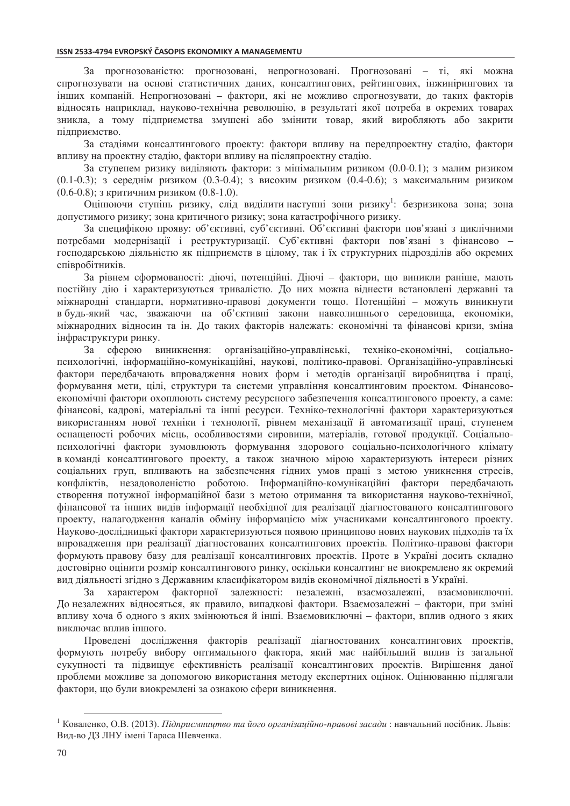За прогнозованістю: прогнозовані, непрогнозовані. Прогнозовані - ті, які можна спрогнозувати на основі статистичних даних, консалтингових, рейтингових, інжинірингових та інших компаній. Непрогнозовані - фактори, які не можливо спрогнозувати, до таких факторів відносять наприклад, науково-технічна революцію, в результаті якої потреба в окремих товарах зникла, а тому підприємства змушені або змінити товар, який виробляють або закрити пілприємство.

За сталіями консалтингового проекту: фактори впливу на перелпроектну сталію, фактори впливу на проектну стадію, фактори впливу на післяпроектну стадію.

За ступенем ризику виділяють фактори: з мінімальним ризиком (0.0-0.1); з малим ризиком  $(0.1-0.3)$ ; з середним ризиком  $(0.3-0.4)$ ; з високим ризиком  $(0.4-0.6)$ ; з максимальним ризиком  $(0.6-0.8)$ ; з критичним ризиком  $(0.8-1.0)$ .

Оцінюючи ступінь ризику, слід виділити наступні зони ризику<sup>1</sup>: безризикова зона; зона допустимого ризику; зона критичного ризику; зона катастрофічного ризику.

За специфікою прояву: об'єктивні, суб'єктивні, Об'єктивні фактори пов'язані з циклічними потребами модернізації і реструктуризації. Суб'єктивні фактори пов'язані з фінансово господарською діяльністю як підприємств в цілому, так і їх структурних підрозділів або окремих співробітників.

За рівнем сформованості: діючі, потенційні. Діючі - фактори, що виникли раніше, мають постійну дію і характеризуються тривалістю. До них можна віднести встановлені державні та міжнародні стандарти, нормативно-правові документи тощо. Потенційні - можуть виникнути в будь-який час, зважаючи на об'єктивні закони навколишнього середовища, економіки, міжнародних відносин та ін. До таких факторів належать: економічні та фінансові кризи, зміна інфраструктури ринку.

 $3a$ сферою виникнення: організаційно-управлінські, техніко-економічні, соціальнопсихологічні, інформаційно-комунікаційні, наукові, політико-правові. Організаційно-управлінські фактори передбачають впровадження нових форм і методів організації виробництва і праці, формування мети, цілі, структури та системи управління консалтинговим проектом. Фінансовоекономічні фактори охоплюють систему ресурсного забезпечення консалтингового проекту, а саме: фінансові, кадрові, матеріальні та інші ресурси. Техніко-технологічні фактори характеризуються використанням нової техніки і технології, рівнем механізації й автоматизації праці, ступенем оснащеності робочих місць, особливостями сировини, матеріалів, готової продукції. Соціальнопсихологічні фактори зумовлюють формування здорового соціально-психологічного клімату в команді консалтингового проекту, а також значною мірою характеризують інтереси різних соціальних груп, впливають на забезпечення гідних умов праці з метою уникнення стресів, конфліктів, незадоволеністю роботою. Інформаційно-комунікаційні фактори передбачають створення потужної інформаційної бази з метою отримання та використання науково-технічної, фінансової та інших видів інформації необхідної для реалізації діагностованого консалтингового проекту, налагодження каналів обміну інформацією між учасниками консалтингового проекту. Науково-дослідницькі фактори характеризуються появою принципово нових наукових підходів та їх впровадження при реалізації діагностованих консалтингових проектів. Політико-правові фактори формують правову базу для реалізації консалтингових проектів. Проте в Україні досить складно достовірно оцінити розмір консалтингового ринку, оскільки консалтинг не виокремлено як окремий вид діяльності згідно з Державним класифікатором видів економічної діяльності в Україні.

За характером факторної залежності: незалежні, взаємозалежні, взаємовиключні. До незалежних відносяться, як правило, випадкові фактори. Взаємозалежні – фактори, при зміні впливу хоча б одного з яких змінюються й інші. Взаємовиключні - фактори, вплив одного з яких виключає вплив іншого.

Проведені дослідження факторів реалізації діагностованих консалтингових проектів, формують потребу вибору оптимального фактора, який має найбільший вплив із загальної сукупності та підвищує ефективність реалізації консалтингових проектів. Вирішення даної проблеми можливе за допомогою використання методу експертних оцінок. Оцінюванню підлягали фактори, що були виокремлені за ознакою сфери виникнення.

<sup>&</sup>lt;sup>1</sup> Коваленко, О.В. (2013). Підприємництво та його організаційно-правові засади: навчальний посібник. Львів: Вид-во ДЗ ЛНУ імені Тараса Шевченка.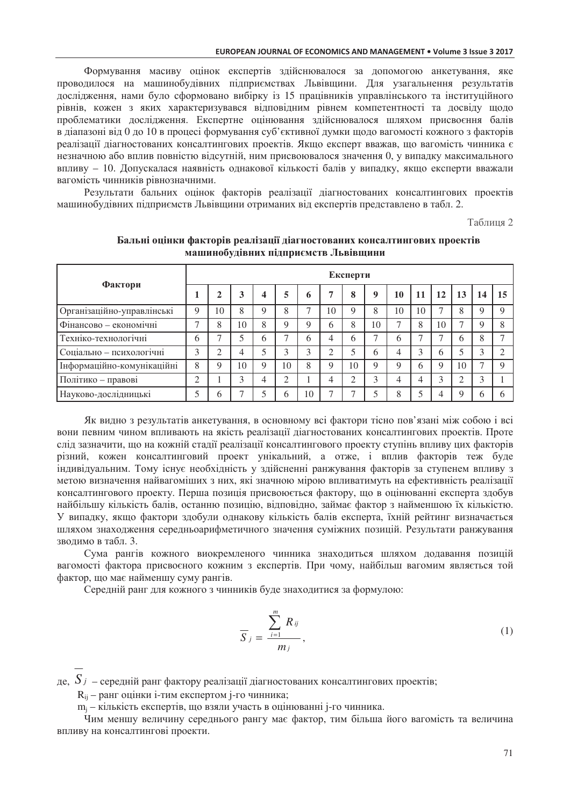Формування масиву оцінок експертів здійснювалося за допомогою анкетування, яке проводилося на машинобудівних підприємствах Львівщини. Для узагальнення результатів дослідження, нами було сформовано вибірку із 15 працівників управлінського та інституційного рівнів, кожен з яких характеризувався відповідним рівнем компетентності та досвіду щодо проблематики дослідження. Експертне оцінювання здійснювалося шляхом присвоєння балів в ліапазоні віл 0 ло 10 в процесі формування суб'єктивної лумки шоло вагомості кожного з факторів реалізації ліагностованих консалтингових проектів. Якщо експерт вважав, що вагомість чинника є незначною або вплив повністю відсутній, ним присвоювалося значення 0, у випадку максимального впливу - 10. Допускалася наявність однакової кількості балів у випадку, якщо експерти вважали вагомість чинників рівнозначними.

Результати бальних оцінок факторів реалізації діагностованих консалтингових проектів машинобудівних підприємств Львівщини отриманих від експертів представлено в табл. 2.

Таблиця 2

| Фактори                    |   | Експерти |    |   |    |    |    |    |                |             |    |    |    |    |             |
|----------------------------|---|----------|----|---|----|----|----|----|----------------|-------------|----|----|----|----|-------------|
|                            |   |          | 3  | 4 | 5  | 6  |    | 8  | 9              | 10          | 11 | 12 | 13 | 14 | 15          |
| Організаційно-управлінські | Q | 10       | 8  | 9 | 8  |    | 10 | 9  | 8              | 10          | 10 |    | 8  | q  | $\mathbf Q$ |
| Фінансово - економічні     | ⇁ | 8        | 10 | 8 | Q  |    | 6  | 8  | 10             | ⇁           | 8  | 10 | ⇁  | q  |             |
| Техніко-технологічні       | 6 |          |    | 6 |    | h  |    | 6  | $\overline{ }$ | 6           |    |    | 6  | 8  |             |
| Соціально - психологічні   | 3 |          | 4  | 5 | 3  |    | ⌒  |    | 6              | 4           | 3  | 6  |    |    |             |
| Інформаційно-комунікаційні | 8 | Q        | 10 | 9 | 10 | 8  | Q  | 10 | 9              | $\mathbf Q$ | 6  | Q  | 10 |    | $\mathbf Q$ |
| Політико - правові         | ⌒ |          | ⌒  | 4 | ◠  |    |    | ⌒  | 3              | 4           | 4  |    | ◠  | 3  |             |
| Науково-дослідницькі       |   | 6        |    |   | 6  | 10 |    | ⇁  | ς              | 8           | ς  |    | Q  | h  |             |

Бальні оцінки факторів реалізації діагностованих консалтингових проектів машинобудівних підприємств Львівщини

Як видно з результатів анкетування, в основному всі фактори тісно пов'язані між собою і всі вони певним чином впливають на якість реалізації діагностованих консалтингових проектів. Проте слід зазначити, що на кожній стадії реалізації консалтингового проекту ступінь впливу цих факторів різний, кожен консалтинговий проект унікальний, а отже, і вплив факторів теж буде індивідуальним. Тому існує необхідність у здійсненні ранжування факторів за ступенем впливу з метою визначення найвагоміших з них, які значною мірою впливатимуть на ефективність реалізації консалтингового проекту. Перша позиція присвоюється фактору, що в оцінюванні експерта здобув найбільшу кількість балів, останню позицію, відповідно, займає фактор з найменшою їх кількістю. У випадку, якщо фактори здобули однакову кількість балів експерта, їхній рейтинг визначається шляхом знаходження середньоарифметичного значення суміжних позицій. Результати ранжування зволимо в табл. 3.

Сума рангів кожного виокремленого чинника знаходиться шляхом додавання позицій вагомості фактора присвоєного кожним з експертів. При чому, найбільш вагомим являється той фактор, що має найменшу суму рангів.

Середній ранг для кожного з чинників буде знаходитися за формулою:

$$
\overline{S}_j = \frac{\sum_{i=1}^m R_{ij}}{m_i},\tag{1}
$$

де,  $S_j$  – середній ранг фактору реалізації діагностованих консалтингових проектів;

R<sub>ii</sub> - ранг оцінки і-тим експертом ј-го чинника;

m<sub>i</sub> - кількість експертів, що взяли участь в оцінюванні і-го чинника.

Чим меншу величину середнього рангу має фактор, тим більша його вагомість та величина впливу на консалтингові проекти.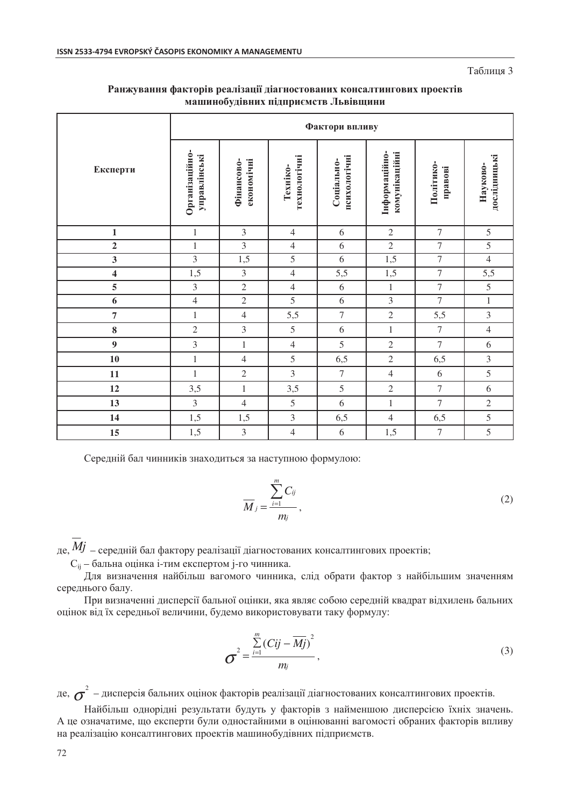Таблиня 3

|                         | Фактори впливу                 |                          |                          |                            |                                |                      |                          |  |  |  |  |
|-------------------------|--------------------------------|--------------------------|--------------------------|----------------------------|--------------------------------|----------------------|--------------------------|--|--|--|--|
| Експерти                | Організаційно-<br>управлінські | економічні<br>Фінансово- | технологічні<br>Техніко- | психологічні<br>Соціально- | Інформаційно-<br>комунікаційні | Політико-<br>правові | дослідницькі<br>Науково- |  |  |  |  |
| $\mathbf{1}$            | $\mathbf{1}$                   | 3                        | $\overline{4}$           | 6                          | $\overline{2}$                 | $\tau$               | 5                        |  |  |  |  |
| $\mathbf 2$             | $\mathbf{1}$                   | $\mathfrak{Z}$           | $\overline{4}$           | $\sqrt{6}$                 | $\sqrt{2}$                     | $\tau$               | $\overline{5}$           |  |  |  |  |
| $\overline{\mathbf{3}}$ | $\mathfrak{Z}$                 | 1,5                      | 5                        | 6                          | 1,5                            | $\boldsymbol{7}$     | $\overline{4}$           |  |  |  |  |
| $\overline{\mathbf{4}}$ | 1,5                            | $\overline{3}$           | $\overline{4}$           | 5,5                        | 1,5                            | $\boldsymbol{7}$     | 5,5                      |  |  |  |  |
| $\overline{5}$          | $\mathfrak{Z}$                 | $\overline{2}$           | $\overline{4}$           | 6                          | $\,1\,$                        | $\boldsymbol{7}$     | $\overline{5}$           |  |  |  |  |
| 6                       | $\overline{4}$                 | $\sqrt{2}$               | 5                        | 6                          | $\overline{3}$                 | $\overline{7}$       | $\mathbf{1}$             |  |  |  |  |
| $\overline{7}$          | $\mathbf{1}$                   | $\overline{4}$           | 5,5                      | $\tau$                     | $\overline{2}$                 | 5,5                  | $\mathfrak{Z}$           |  |  |  |  |
| 8                       | $\overline{2}$                 | 3                        | 5                        | 6                          | $\,1\,$                        | $\boldsymbol{7}$     | $\overline{4}$           |  |  |  |  |
| $\boldsymbol{9}$        | $\mathfrak{Z}$                 | $\mathbf{1}$             | $\overline{4}$           | 5                          | $\overline{2}$                 | $\overline{7}$       | 6                        |  |  |  |  |
| 10                      | $\,1\,$                        | $\overline{4}$           | 5                        | 6,5                        | $\sqrt{2}$                     | 6,5                  | $\mathfrak{Z}$           |  |  |  |  |
| 11                      | $\,1\,$                        | $\overline{2}$           | 3                        | $\overline{7}$             | $\overline{4}$                 | 6                    | 5                        |  |  |  |  |
| 12                      | 3,5                            | $\,1\,$                  | 3,5                      | 5                          | $\sqrt{2}$                     | $\boldsymbol{7}$     | 6                        |  |  |  |  |
| 13                      | $\mathfrak{Z}$                 | $\overline{4}$           | 5                        | 6                          | $\,1\,$                        | $\overline{7}$       | $\sqrt{2}$               |  |  |  |  |
| 14                      | 1,5                            | 1,5                      | 3                        | 6,5                        | $\overline{4}$                 | 6,5                  | 5                        |  |  |  |  |
| 15                      | 1,5                            | $\mathfrak{Z}$           | $\overline{4}$           | 6                          | 1,5                            | $\boldsymbol{7}$     | 5                        |  |  |  |  |

### Ранжування факторів реалізації діагностованих консалтингових проектів машинобудівних підприємств Львівщини

Середній бал чинників знаходиться за наступною формулою:

$$
\overline{M}_{j} = \frac{\sum_{i=1}^{m} C_{ij}}{m_{j}},
$$
\n(2)

де,  $Mj$  – середній бал фактору реалізації діагностованих консалтингових проектів;

С<sub>іі</sub> – бальна оцінка і-тим експертом *і*-го чинника.

Для визначення найбільш вагомого чинника, слід обрати фактор з найбільшим значенням середнього балу.

При визначенні дисперсії бальної оцінки, яка являє собою середній квадрат відхилень бальних оцінок від їх середньої величини, будемо використовувати таку формулу:

$$
\sigma^2 = \frac{\sum_{i=1}^{m} (Cij - \overline{Mj})^2}{m_j},
$$
\n(3)

де,  $\sigma^2$  – дисперсія бальних оцінок факторів реалізації діагностованих консалтингових проектів.

Найбільш однорідні результати будуть у факторів з найменшою дисперсією їхніх значень. А це означатиме, що експерти були одностайними в оцінюванні вагомості обраних факторів впливу на реалізацію консалтингових проектів машинобудівних підприємств.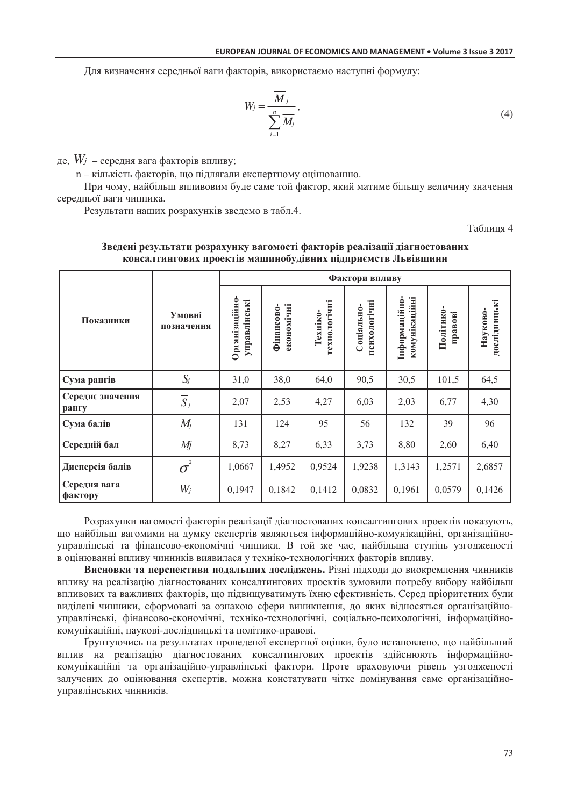Для визначення середньої ваги факторів, використаємо наступні формулу:

$$
W_j = \frac{\overline{M}_j}{\sum_{i=1}^n \overline{M}_j},\tag{4}
$$

де,  $W_j$  – середня вага факторів впливу;

n - кількість факторів, що підлягали експертному оцінюванню.

При чому, найбільш впливовим буде саме той фактор, який матиме більшу величину значення середньої ваги чинника.

Результати наших розрахунків зведемо в табл.4.

Таблиня 4

|                           |                      | Фактори впливу                       |                          |                          |                            |                                      |                      |                          |  |  |  |
|---------------------------|----------------------|--------------------------------------|--------------------------|--------------------------|----------------------------|--------------------------------------|----------------------|--------------------------|--|--|--|
| Показники                 | Умовні<br>позначення | <b>Організаційно</b><br>управлінські | економічні<br>Фінансово- | технологічні<br>Техніко- | психологічні<br>Соціально- | комунікаційні<br><b>Інформаційно</b> | Політико-<br>правові | дослідницькі<br>Науково- |  |  |  |
| Сума рангів               | $S_j$                | 31,0                                 | 38,0                     | 64,0                     | 90,5                       | 30,5                                 | 101,5                | 64,5                     |  |  |  |
| Середнє значення<br>рангу | $\overline{S}_j$     | 2,07                                 | 2,53                     | 4,27                     | 6,03                       | 2,03                                 | 6,77                 | 4,30                     |  |  |  |
| Сума балів                | $M_{j}$              | 131                                  | 124                      | 95                       | 56                         | 132                                  | 39                   | 96                       |  |  |  |
| Середній бал              | Mj                   | 8,73                                 | 8,27                     | 6,33                     | 3,73                       | 8,80                                 | 2,60                 | 6,40                     |  |  |  |
| Дисперсія балів           | $\sigma^2$           | 1,0667                               | 1,4952                   | 0,9524                   | 1,9238                     | 1,3143                               | 1,2571               | 2,6857                   |  |  |  |
| Середня вага<br>фактору   | $W_j$                | 0,1947                               | 0,1842                   | 0,1412                   | 0,0832                     | 0,1961                               | 0,0579               | 0,1426                   |  |  |  |

#### Зведені результати розрахунку вагомості факторів реалізації діагностованих консалтингових проектів машинобулівних пілприємств Львівшини

Розрахунки вагомості факторів реалізації діагностованих консалтингових проектів показують, що найбільш вагомими на думку експертів являються інформаційно-комунікаційні, організаційноуправлінські та фінансово-економічні чинники. В той же час, найбільша ступінь узгодженості в оцінюванні впливу чинників виявилася у техніко-технологічних факторів впливу.

Висновки та перспективи подальших досліджень. Різні підходи до виокремлення чинників впливу на реалізацію діагностованих консалтингових проектів зумовили потребу вибору найбільш впливових та важливих факторів, що підвищуватимуть їхню ефективність. Серед пріоритетних були виділені чинники, сформовані за ознакою сфери виникнення, до яких відносяться організаційноуправлінські, фінансово-економічні, техніко-технологічні, соціально-психологічні, інформаційнокомунікаційні, наукові-дослідницькі та політико-правові.

Грунтуючись на результатах проведеної експертної оцінки, було встановлено, що найбільший вплив на реалізацію діагностованих консалтингових проектів здійснюють інформаційнокомунікаційні та організаційно-управлінські фактори. Проте враховуючи рівень узгодженості залучених до оцінювання експертів, можна констатувати чітке домінування саме організаційноуправлінських чинників.